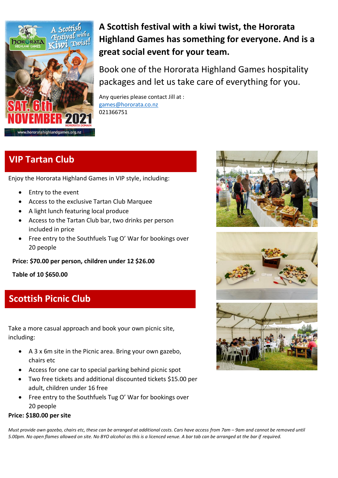

**A Scottish festival with a kiwi twist, the Hororata Highland Games has something for everyone. And is a great social event for your team.** 

Book one of the Hororata Highland Games hospitality packages and let us take care of everything for you.

Any queries please contact Jill at : [games@hororata.co.nz](mailto:games@hororata.co.nz) 021366751

# **VIP Tartan Club**

Enjoy the Hororata Highland Games in VIP style, including:

- Entry to the event
- Access to the exclusive Tartan Club Marquee
- A light lunch featuring local produce
- Access to the Tartan Club bar, two drinks per person included in price
- Free entry to the Southfuels Tug O' War for bookings over 20 people

**Price: \$70.00 per person, children under 12 \$26.00**

**Table of 10 \$650.00**

## **Scottish Picnic Club**

Take a more casual approach and book your own picnic site, including:

- A 3 x 6m site in the Picnic area. Bring your own gazebo, chairs etc
- Access for one car to special parking behind picnic spot
- Two free tickets and additional discounted tickets \$15.00 per adult, children under 16 free
- Free entry to the Southfuels Tug O' War for bookings over 20 people

### **Price: \$180.00 per site**

*Must provide own gazebo, chairs etc, these can be arranged at additional costs. Cars have access from 7am - 9am and cannot be removed until 5.00pm. No open flames allowed on site. No BYO alcohol as this is a licenced venue. A bar tab can be arranged at the bar if required.*